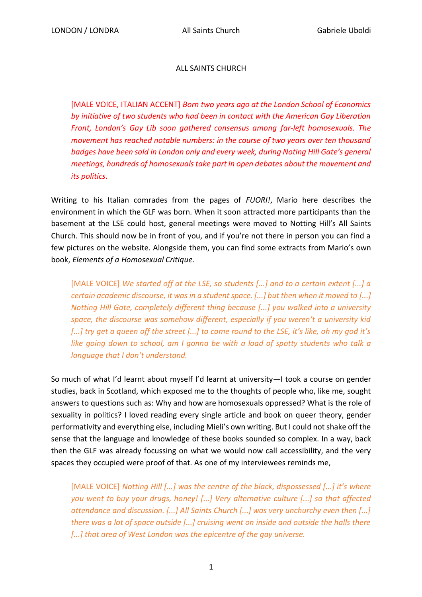## ALL SAINTS CHURCH

[MALE VOICE, ITALIAN ACCENT] *Born two years ago at the London School of Economics by initiative of two students who had been in contact with the American Gay Liberation Front, London's Gay Lib soon gathered consensus among far-left homosexuals. The movement has reached notable numbers: in the course of two years over ten thousand badges have been sold in London only and every week, during Noting Hill Gate's general meetings, hundreds of homosexuals take part in open debates about the movement and its politics.*

Writing to his Italian comrades from the pages of *FUORI!*, Mario here describes the environment in which the GLF was born. When it soon attracted more participants than the basement at the LSE could host, general meetings were moved to Notting Hill's All Saints Church. This should now be in front of you, and if you're not there in person you can find a few pictures on the website. Alongside them, you can find some extracts from Mario's own book, *Elements of a Homosexual Critique*.

[MALE VOICE] *We started off at the LSE, so students [...] and to a certain extent [...] a certain academic discourse, it was in a student space. [...] but then when it moved to [...] Notting Hill Gate, completely different thing because [...] you walked into a university space, the discourse was somehow different, especially if you weren't a university kid [...] try get a queen off the street [...] to come round to the LSE, it's like, oh my god it's like going down to school, am I gonna be with a load of spotty students who talk a language that I don't understand.*

So much of what I'd learnt about myself I'd learnt at university—I took a course on gender studies, back in Scotland, which exposed me to the thoughts of people who, like me, sought answers to questions such as: Why and how are homosexuals oppressed? What is the role of sexuality in politics? I loved reading every single article and book on queer theory, gender performativity and everything else, including Mieli's own writing. But I could not shake off the sense that the language and knowledge of these books sounded so complex. In a way, back then the GLF was already focussing on what we would now call accessibility, and the very spaces they occupied were proof of that. As one of my interviewees reminds me,

[MALE VOICE] *Notting Hill [...] was the centre of the black, dispossessed [...] it's where you went to buy your drugs, honey! [...] Very alternative culture [...] so that affected attendance and discussion. [...] All Saints Church [...] was very unchurchy even then [...] there was a lot of space outside [...] cruising went on inside and outside the halls there [...] that area of West London was the epicentre of the gay universe.*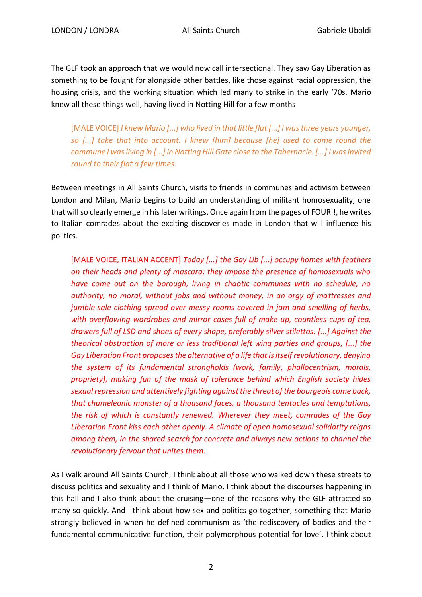The GLF took an approach that we would now call intersectional. They saw Gay Liberation as something to be fought for alongside other battles, like those against racial oppression, the housing crisis, and the working situation which led many to strike in the early '70s. Mario knew all these things well, having lived in Notting Hill for a few months

[MALE VOICE] *I knew Mario [...] who lived in that little flat [...] I was three years younger, so [...] take that into account. I knew [him] because [he] used to come round the commune I was living in [...] in Notting Hill Gate close to the Tabernacle. [...] I was invited round to their flat a few times.*

Between meetings in All Saints Church, visits to friends in communes and activism between London and Milan, Mario begins to build an understanding of militant homosexuality, one that will so clearly emerge in his later writings.Once again from the pages of FOURI!, he writes to Italian comrades about the exciting discoveries made in London that will influence his politics.

[MALE VOICE, ITALIAN ACCENT] *Today [...] the Gay Lib [...] occupy homes with feathers on their heads and plenty of mascara; they impose the presence of homosexuals who have come out on the borough, living in chaotic communes with no schedule, no authority, no moral, without jobs and without money, in an orgy of mattresses and jumble-sale clothing spread over messy rooms covered in jam and smelling of herbs, with overflowing wardrobes and mirror cases full of make-up, countless cups of tea, drawers full of LSD and shoes of every shape, preferably silver stilettos. [...] Against the theorical abstraction of more or less traditional left wing parties and groups, [...] the Gay Liberation Front proposes the alternative of a life that is itself revolutionary, denying the system of its fundamental strongholds (work, family, phallocentrism, morals, propriety), making fun of the mask of tolerance behind which English society hides sexual repression and attentively fighting against the threat of the bourgeois come back, that chameleonic monster of a thousand faces, a thousand tentacles and temptations, the risk of which is constantly renewed. Wherever they meet, comrades of the Gay Liberation Front kiss each other openly. A climate of open homosexual solidarity reigns among them, in the shared search for concrete and always new actions to channel the revolutionary fervour that unites them.*

As I walk around All Saints Church, I think about all those who walked down these streets to discuss politics and sexuality and I think of Mario. I think about the discourses happening in this hall and I also think about the cruising—one of the reasons why the GLF attracted so many so quickly. And I think about how sex and politics go together, something that Mario strongly believed in when he defined communism as 'the rediscovery of bodies and their fundamental communicative function, their polymorphous potential for love'. I think about